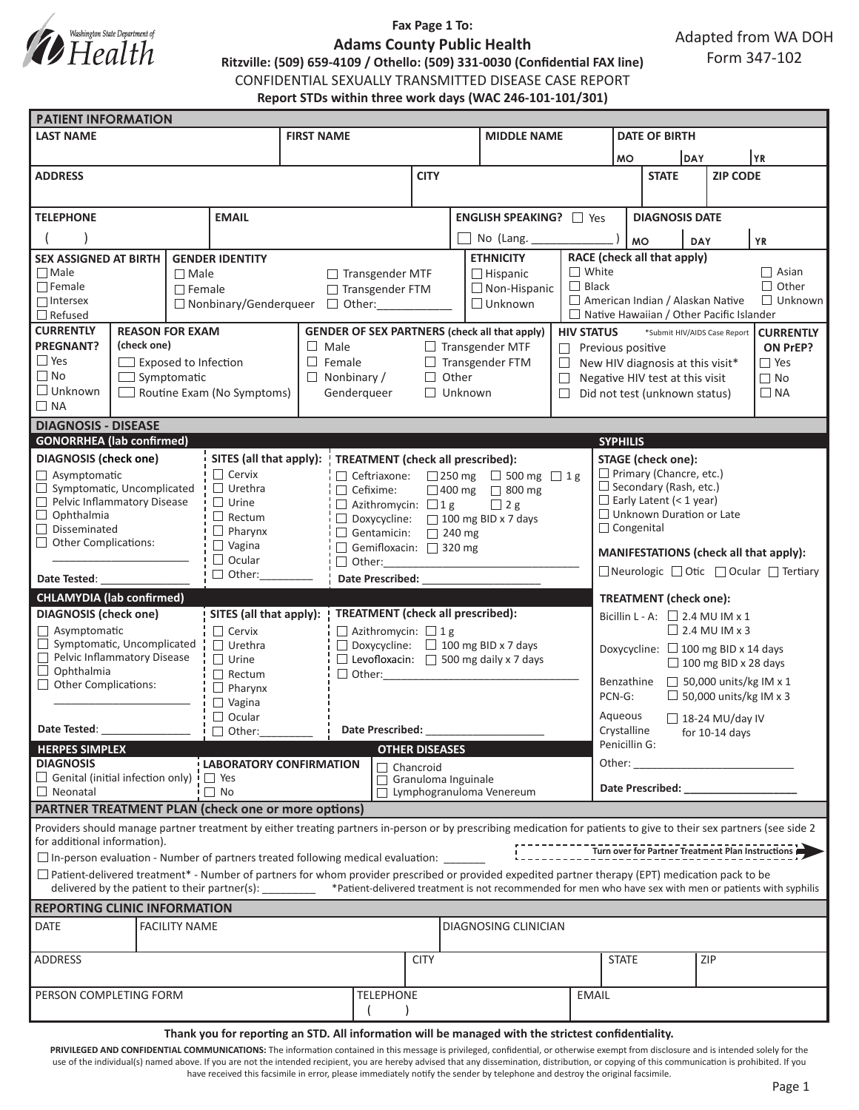

## **Fax Page 1 To:**

Adapted from WA DOH Form 347-102

**Adams County Public Health Ritzville: (509) 659-4109 / Othello: (509) 331-0030 (Confidential FAX line)** CONFIDENTIAL SEXUALLY TRANSMITTED DISEASE CASE REPORT

**Report STDs within three work days (WAC 246-101-101/301)**

| <b>PATIENT INFORMATION</b>                                                                                                                                                                                                                                                                                               |                      |                |                                     |                                                   |                                                                                                     |                                        |                                |                                          |                                                                       |                                                             |                                                                  |                                  |                                                                                                                |                           |  |
|--------------------------------------------------------------------------------------------------------------------------------------------------------------------------------------------------------------------------------------------------------------------------------------------------------------------------|----------------------|----------------|-------------------------------------|---------------------------------------------------|-----------------------------------------------------------------------------------------------------|----------------------------------------|--------------------------------|------------------------------------------|-----------------------------------------------------------------------|-------------------------------------------------------------|------------------------------------------------------------------|----------------------------------|----------------------------------------------------------------------------------------------------------------|---------------------------|--|
| <b>LAST NAME</b>                                                                                                                                                                                                                                                                                                         |                      |                |                                     | <b>FIRST NAME</b>                                 |                                                                                                     |                                        |                                | <b>MIDDLE NAME</b>                       |                                                                       |                                                             | <b>DATE OF BIRTH</b>                                             |                                  |                                                                                                                |                           |  |
|                                                                                                                                                                                                                                                                                                                          |                      |                |                                     |                                                   |                                                                                                     |                                        |                                |                                          |                                                                       | <b>MO</b>                                                   |                                                                  | <b>DAY</b>                       |                                                                                                                | YR                        |  |
| <b>ADDRESS</b>                                                                                                                                                                                                                                                                                                           |                      |                |                                     |                                                   | <b>CITY</b>                                                                                         |                                        |                                |                                          |                                                                       | <b>STATE</b>                                                |                                                                  | <b>ZIP CODE</b>                  |                                                                                                                |                           |  |
|                                                                                                                                                                                                                                                                                                                          |                      |                |                                     |                                                   |                                                                                                     |                                        |                                |                                          |                                                                       |                                                             |                                                                  |                                  |                                                                                                                |                           |  |
| <b>EMAIL</b><br><b>TELEPHONE</b>                                                                                                                                                                                                                                                                                         |                      |                |                                     |                                                   |                                                                                                     |                                        | <b>ENGLISH SPEAKING?</b> □ Yes |                                          |                                                                       |                                                             | <b>DIAGNOSIS DATE</b>                                            |                                  |                                                                                                                |                           |  |
|                                                                                                                                                                                                                                                                                                                          |                      |                |                                     |                                                   |                                                                                                     |                                        | No (Lang.                      |                                          |                                                                       | <b>MO</b>                                                   |                                                                  | <b>YR</b><br>DAY                 |                                                                                                                |                           |  |
| <b>SEX ASSIGNED AT BIRTH</b><br><b>GENDER IDENTITY</b>                                                                                                                                                                                                                                                                   |                      |                |                                     |                                                   |                                                                                                     |                                        |                                | <b>ETHNICITY</b>                         | RACE (check all that apply)                                           |                                                             |                                                                  |                                  |                                                                                                                |                           |  |
| $\Box$ Male                                                                                                                                                                                                                                                                                                              | $\Box$ Male          |                |                                     |                                                   | $\Box$ Transgender MTF<br>$\Box$ Hispanic                                                           |                                        |                                | $\Box$ White                             | $\Box$ Asian                                                          |                                                             |                                                                  |                                  |                                                                                                                |                           |  |
| $\Box$ Female                                                                                                                                                                                                                                                                                                            |                      | $\Box$ Female  |                                     |                                                   | □ Transgender FTM                                                                                   |                                        |                                | $\Box$ Non-Hispanic                      | $\Box$ Black                                                          |                                                             |                                                                  |                                  |                                                                                                                | $\Box$ Other              |  |
| $\Box$ Intersex<br>$\Box$ Nonbinary/Genderqueer                                                                                                                                                                                                                                                                          |                      |                |                                     | $\Box$ Other:                                     |                                                                                                     |                                        |                                | $\Box$ Unknown                           |                                                                       | American Indian / Alaskan Native<br>$\Box$ Unknown          |                                                                  |                                  |                                                                                                                |                           |  |
| $\Box$ Refused                                                                                                                                                                                                                                                                                                           |                      |                |                                     |                                                   |                                                                                                     |                                        |                                |                                          |                                                                       | $\Box$ Native Hawaiian / Other Pacific Islander             |                                                                  |                                  |                                                                                                                |                           |  |
| <b>CURRENTLY</b><br><b>REASON FOR EXAM</b>                                                                                                                                                                                                                                                                               |                      |                |                                     |                                                   | <b>GENDER OF SEX PARTNERS (check all that apply)</b>                                                |                                        |                                | <b>HIV STATUS</b>                        | *Submit HIV/AIDS Case Report<br><b>CURRENTLY</b>                      |                                                             |                                                                  |                                  |                                                                                                                |                           |  |
| <b>PREGNANT?</b><br>(check one)<br>$\Box$ Yes                                                                                                                                                                                                                                                                            |                      |                |                                     | $\Box$ Male<br>$\Box$ Female                      |                                                                                                     |                                        | $\Box$ Transgender MTF         |                                          | $\Box$ Previous positive                                              |                                                             |                                                                  |                                  | ON PrEP?<br>$\Box$ Yes                                                                                         |                           |  |
| $\Box$ Exposed to Infection<br>$\Box$ No<br>$\Box$ Symptomatic                                                                                                                                                                                                                                                           |                      |                |                                     |                                                   |                                                                                                     | $\Box$ Transgender FTM<br>$\Box$ Other |                                |                                          | $\Box$<br>$\Box$                                                      |                                                             |                                                                  | New HIV diagnosis at this visit* |                                                                                                                |                           |  |
| $\Box$ Unknown                                                                                                                                                                                                                                                                                                           |                      |                | Routine Exam (No Symptoms)          |                                                   | $\Box$ Nonbinary /<br>Gendergueer                                                                   |                                        |                                | П                                        |                                                                       |                                                             | Negative HIV test at this visit<br>Did not test (unknown status) |                                  |                                                                                                                | $\Box$ No<br>$\square$ NA |  |
| $\Box$ NA                                                                                                                                                                                                                                                                                                                |                      |                |                                     |                                                   | $\Box$ Unknown                                                                                      |                                        |                                |                                          |                                                                       |                                                             |                                                                  |                                  |                                                                                                                |                           |  |
| <b>DIAGNOSIS - DISEASE</b>                                                                                                                                                                                                                                                                                               |                      |                |                                     |                                                   |                                                                                                     |                                        |                                |                                          |                                                                       |                                                             |                                                                  |                                  |                                                                                                                |                           |  |
| <b>GONORRHEA</b> (lab confirmed)<br><b>SYPHILIS</b>                                                                                                                                                                                                                                                                      |                      |                |                                     |                                                   |                                                                                                     |                                        |                                |                                          |                                                                       |                                                             |                                                                  |                                  |                                                                                                                |                           |  |
| <b>DIAGNOSIS</b> (check one)                                                                                                                                                                                                                                                                                             |                      |                | SITES (all that apply):             | TREATMENT (check all prescribed):                 |                                                                                                     |                                        |                                |                                          |                                                                       | <b>STAGE</b> (check one):                                   |                                                                  |                                  |                                                                                                                |                           |  |
| $\Box$ Asymptomatic                                                                                                                                                                                                                                                                                                      |                      |                | $\Box$ Cervix                       | Ceftriaxone:<br>□ 250 mg □ 500 mg □ 1g            |                                                                                                     |                                        |                                |                                          |                                                                       | $\Box$ Primary (Chancre, etc.)                              |                                                                  |                                  |                                                                                                                |                           |  |
| $\Box$<br>Symptomatic, Uncomplicated<br>$\Box$ Urethra                                                                                                                                                                                                                                                                   |                      |                |                                     |                                                   | $\Box$ Cefixime:                                                                                    |                                        |                                | □ 400 mg □ 800 mg                        |                                                                       | $\Box$ Secondary (Rash, etc.)                               |                                                                  |                                  |                                                                                                                |                           |  |
| Pelvic Inflammatory Disease<br>П<br>$\Box$ Urine                                                                                                                                                                                                                                                                         |                      |                |                                     |                                                   | $\Box$ Azithromycin: $\Box$ 1 g                                                                     |                                        |                                | $\Box$ 2 g                               |                                                                       | $\Box$ Early Latent (< 1 year)                              |                                                                  |                                  |                                                                                                                |                           |  |
| $\Box$<br>Ophthalmia<br>Disseminated<br>П                                                                                                                                                                                                                                                                                |                      |                | $\Box$ Rectum                       | $\Box$ Doxycycline:<br>$\Box$ 100 mg BID x 7 days |                                                                                                     |                                        |                                |                                          |                                                                       | □ Unknown Duration or Late<br>$\Box$ Congenital             |                                                                  |                                  |                                                                                                                |                           |  |
| $\Box$ Pharynx<br><b>Other Complications:</b><br>$\Box$<br>$\Box$ Vagina                                                                                                                                                                                                                                                 |                      |                | $\Box$ Gentamicin:<br>$\Box$ 240 mg |                                                   |                                                                                                     |                                        |                                |                                          |                                                                       |                                                             |                                                                  |                                  |                                                                                                                |                           |  |
|                                                                                                                                                                                                                                                                                                                          |                      |                | $\Box$ Ocular                       | □ Gemifloxacin: □ 320 mg<br>$\Box$ Other:         |                                                                                                     |                                        |                                |                                          |                                                                       | MANIFESTATIONS (check all that apply):                      |                                                                  |                                  |                                                                                                                |                           |  |
| $\Box$ Other:<br>Date Tested:                                                                                                                                                                                                                                                                                            |                      |                |                                     | <b>Date Prescribed:</b>                           |                                                                                                     |                                        |                                |                                          |                                                                       | $\Box$ Neurologic $\Box$ Otic $\Box$ Ocular $\Box$ Tertiary |                                                                  |                                  |                                                                                                                |                           |  |
| <b>CHLAMYDIA (lab confirmed)</b>                                                                                                                                                                                                                                                                                         |                      |                |                                     |                                                   |                                                                                                     |                                        |                                |                                          |                                                                       |                                                             |                                                                  |                                  |                                                                                                                |                           |  |
| <b>DIAGNOSIS</b> (check one)<br>SITES (all that apply):                                                                                                                                                                                                                                                                  |                      |                | TREATMENT (check all prescribed):   |                                                   |                                                                                                     |                                        |                                |                                          | <b>TREATMENT</b> (check one):<br>Bicillin L - A: $\Box$ 2.4 MU IM x 1 |                                                             |                                                                  |                                  |                                                                                                                |                           |  |
| $\Box$ Asymptomatic                                                                                                                                                                                                                                                                                                      |                      |                | $\Box$ Cervix                       | $\Box$ Azithromycin: $\Box$ 1 g                   |                                                                                                     |                                        |                                |                                          |                                                                       |                                                             | $\Box$ 2.4 MU IM x 3                                             |                                  |                                                                                                                |                           |  |
| $\Box$ Symptomatic, Uncomplicated                                                                                                                                                                                                                                                                                        |                      | $\Box$ Urethra |                                     | $\Box$ Doxycycline: $\Box$ 100 mg BID x 7 days    |                                                                                                     |                                        |                                | Doxycycline: $\Box$ 100 mg BID x 14 days |                                                                       |                                                             |                                                                  |                                  |                                                                                                                |                           |  |
| $\Box$ Pelvic Inflammatory Disease                                                                                                                                                                                                                                                                                       |                      |                | $\Box$ Urine                        | $\Box$ Levofloxacin: $\Box$ 500 mg daily x 7 days |                                                                                                     |                                        |                                |                                          |                                                                       |                                                             |                                                                  |                                  |                                                                                                                |                           |  |
| Ophthalmia<br>$\Box$                                                                                                                                                                                                                                                                                                     |                      |                | $\Box$ Rectum                       | $\Box$ Other:                                     |                                                                                                     |                                        |                                |                                          | $\Box$ 100 mg BID x 28 days<br>$\Box$ 50,000 units/kg IM x 1          |                                                             |                                                                  |                                  |                                                                                                                |                           |  |
| $\Box$ Other Complications:                                                                                                                                                                                                                                                                                              |                      |                | $\Box$ Pharynx                      |                                                   |                                                                                                     |                                        |                                |                                          | Benzathine<br>$\Box$ 50,000 units/kg IM x 3<br>PCN-G:                 |                                                             |                                                                  |                                  |                                                                                                                |                           |  |
|                                                                                                                                                                                                                                                                                                                          |                      |                | $\Box$ Vagina                       |                                                   |                                                                                                     |                                        |                                |                                          |                                                                       |                                                             |                                                                  |                                  |                                                                                                                |                           |  |
| Date Tested:<br>$\Box$ Other:                                                                                                                                                                                                                                                                                            |                      |                | $\Box$ Ocular                       | <b>Date Prescribed:</b>                           |                                                                                                     |                                        |                                |                                          |                                                                       | Aqueous<br>$\Box$ 18-24 MU/day IV<br>Crystalline            |                                                                  |                                  |                                                                                                                |                           |  |
| <b>HERPES SIMPLEX</b>                                                                                                                                                                                                                                                                                                    |                      |                | <b>OTHER DISEASES</b>               |                                                   |                                                                                                     |                                        |                                |                                          | for $10-14$ days<br>Penicillin G:                                     |                                                             |                                                                  |                                  |                                                                                                                |                           |  |
| <b>DIAGNOSIS</b><br><b>LABORATORY CONFIRMATION</b>                                                                                                                                                                                                                                                                       |                      |                |                                     | $\Box$ Chancroid                                  |                                                                                                     |                                        |                                |                                          |                                                                       | Other:                                                      |                                                                  |                                  | <u> 1990 - Johann Barbara, martxa</u>                                                                          |                           |  |
| $\Box$ Genital (initial infection only) $\vdash$ $\Box$ Yes                                                                                                                                                                                                                                                              |                      |                |                                     |                                                   | Granuloma Inguinale                                                                                 |                                        |                                |                                          |                                                                       |                                                             |                                                                  |                                  |                                                                                                                |                           |  |
| $\Box$ Neonatal<br>$\Box$ No                                                                                                                                                                                                                                                                                             |                      |                |                                     |                                                   | П                                                                                                   | Lymphogranuloma Venereum               |                                |                                          |                                                                       |                                                             |                                                                  |                                  | Date Prescribed: Note that the present of the state of the state of the state of the state of the state of the |                           |  |
| <b>PARTNER TREATMENT PLAN (check one or more options)</b>                                                                                                                                                                                                                                                                |                      |                |                                     |                                                   |                                                                                                     |                                        |                                |                                          |                                                                       |                                                             |                                                                  |                                  |                                                                                                                |                           |  |
| Providers should manage partner treatment by either treating partners in-person or by prescribing medication for patients to give to their sex partners (see side 2<br>for additional information).                                                                                                                      |                      |                |                                     |                                                   |                                                                                                     |                                        |                                |                                          |                                                                       |                                                             |                                                                  |                                  |                                                                                                                |                           |  |
|                                                                                                                                                                                                                                                                                                                          |                      |                |                                     |                                                   | $\Box$ In-person evaluation - Number of partners treated following medical evaluation:              |                                        |                                |                                          |                                                                       |                                                             |                                                                  |                                  |                                                                                                                |                           |  |
|                                                                                                                                                                                                                                                                                                                          |                      |                |                                     |                                                   |                                                                                                     |                                        |                                |                                          |                                                                       |                                                             |                                                                  |                                  |                                                                                                                |                           |  |
| $\Box$ Patient-delivered treatment* - Number of partners for whom provider prescribed or provided expedited partner therapy (EPT) medication pack to be<br>delivered by the patient to their partner(s): _______ *Patient-delivered treatment is not recommended for men who have sex with men or patients with syphilis |                      |                |                                     |                                                   |                                                                                                     |                                        |                                |                                          |                                                                       |                                                             |                                                                  |                                  |                                                                                                                |                           |  |
| <b>REPORTING CLINIC INFORMATION</b>                                                                                                                                                                                                                                                                                      |                      |                |                                     |                                                   |                                                                                                     |                                        |                                |                                          |                                                                       |                                                             |                                                                  |                                  |                                                                                                                |                           |  |
| DATE                                                                                                                                                                                                                                                                                                                     | DIAGNOSING CLINICIAN |                |                                     |                                                   |                                                                                                     |                                        |                                |                                          |                                                                       |                                                             |                                                                  |                                  |                                                                                                                |                           |  |
| ADDRESS                                                                                                                                                                                                                                                                                                                  |                      |                |                                     | <b>CITY</b>                                       |                                                                                                     |                                        |                                |                                          | ZIP<br><b>STATE</b>                                                   |                                                             |                                                                  |                                  |                                                                                                                |                           |  |
|                                                                                                                                                                                                                                                                                                                          |                      |                |                                     |                                                   |                                                                                                     |                                        |                                |                                          |                                                                       |                                                             |                                                                  |                                  |                                                                                                                |                           |  |
| PERSON COMPLETING FORM                                                                                                                                                                                                                                                                                                   |                      |                |                                     |                                                   | <b>TELEPHONE</b>                                                                                    |                                        |                                | <b>EMAIL</b>                             |                                                                       |                                                             |                                                                  |                                  |                                                                                                                |                           |  |
|                                                                                                                                                                                                                                                                                                                          |                      |                |                                     |                                                   |                                                                                                     |                                        |                                |                                          |                                                                       |                                                             |                                                                  |                                  |                                                                                                                |                           |  |
|                                                                                                                                                                                                                                                                                                                          |                      |                |                                     |                                                   | Thank you for reporting an STD. All information will be managed with the strictest confidentiality. |                                        |                                |                                          |                                                                       |                                                             |                                                                  |                                  |                                                                                                                |                           |  |

PRIVILEGED AND CONFIDENTIAL COMMUNICATIONS: The information contained in this message is privileged, confidential, or otherwise exempt from disclosure and is intended solely for the use of the individual(s) named above. If you are not the intended recipient, you are hereby advised that any dissemination, distribution, or copying of this communication is prohibited. If you have received this facsimile in error, please immediately notify the sender by telephone and destroy the original facsimile.